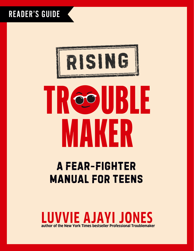### READER'S GUIDE



# UBLE OO MAKER

### A FEAR-FIGHTER **MANUAL FOR TEENS**

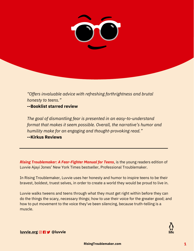

*"Offers invaluable advice with refreshing forthrightness and brutal honesty to teens."*

**--Booklist starred review**

*The goal of dismantling fear is presented in an easy-to-understand format that makes it seem possible. Overall, the narrative's humor and humility make for an engaging and thought-provoking read."* **--Kirkus Reviews**

*[Rising Troublemaker: A Fear-Fighter Manual for Teens](https://www.penguinrandomhouse.com/books/704765/rising-troublemaker-by-luvvie-ajayi-jones/)*, is the young readers edition of Luvvie Ajayi Jones' New York Times bestseller, Professional Troublemaker.

In Rising Troublemaker, Luvvie uses her honesty and humor to inspire teens to be their bravest, boldest, truest selves, in order to create a world they would be proud to live in.

Luvvie walks tweens and teens through what they must get right within before they can do the things the scary, necessary things; how to use their voice for the greater good; and how to put movement to the voice they've been silencing, because truth-telling is a muscle.

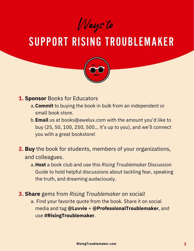Ways to

## SUPPORT RISING TROUBLEMAKER



- **1. Sponsor** Books for Educators
	- **Commit** to buying the book in bulk from an independent or a. small book store.
	- **Email** us at books@aweluv.com with the amount you'd like to b. buy (25, 50, 100, 250, 500… it's up to you), and we'll connect you with a great bookstore!
- **2. Buy** the book for students, members of your organizations, and colleagues.
	- **Host** a book club and use this *Rising Troublemaker* Discussion a. Guide to hold helpful discussions about tackling fear, speaking the truth, and dreaming audaciously.
- **3. Share** gems from *Rising Troublemaker* on social!
	- Find your favorite quote from the book. Share it on social a. media and tag **@Luvvie** + **@ProfessionalTroublemaker**, and use **#RisingTroublemaker**.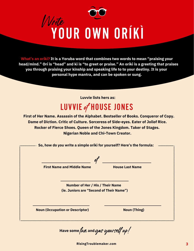

**What's an oríkì? It is a Yoruba word that combines two words to mean "praising your head/mind." Orí is "head" and kì is "to greet or praise." An oríkì is a greeting that praises you through praising your kinship and speaking life to to your destiny. It is your personal hype mantra, and can be spoken or sung.**

**Luvvie lists hers as:**

## LUVVIE PHOUSE JONES

**First of Her Name. Assassin of the Alphabet. Bestseller of Books. Conqueror of Copy. Dame of Diction. Critic of Culture. Sorceress of Side-eyes. Eater of Jollof Rice. Rocker of Fierce Shoes. Queen of the Jones Kingdom. Taker of Stages. Nigerian Noble and Chi-Town Creator.**

**So, how do you write a simple oríkì for yourself? Here's the formula:**

of

**First Name and Middle Name**

**House Last Name**

**Number of Her / His / Their Name (ie. Juniors are "Second of Their Name")**

**Noun (Occupation or Descriptor)**

**Noun (Thing)**

fun and g*as yourself up!* **Have some and**

**<RisingTroublemaker.com> 3**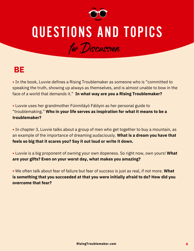

## QUESTIONS AND TOPICS

for Discussion

#### **BE**

**•** In the book, Luvvie defines a Rising Troublemaker as someone who is "committed to speaking the truth, showing up always as themselves, and is almost unable to bow in the face of a world that demands it." **In what way are you a Rising Troublemaker?**

**•** Luvvie uses her grandmother Fúnmiláyò Fálóyin as her personal guide to "troublemaking." **Who in your life serves as inspiration for what it means to be a troublemaker?**

**•** In chapter 3, Luvvie talks about a group of men who get together to buy a mountain, as an example of the importance of dreaming audaciously. **What is a dream you have that feels so big that it scares you? Say it out loud or write it down.**

**•** Luvvie is a big proponent of owning your own dopeness. So right now, own yours! **What are your gifts? Even on your worst day, what makes you amazing?**

**•** We often talk about fear of failure but fear of success is just as real, if not more. **What is something that you succeeded at that you were initially afraid to do? How did you overcome that fear?**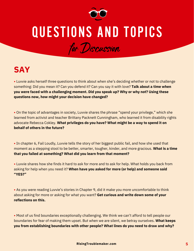

## QUESTIONS AND TOPICS

for Discussion



**•** Luvvie asks herself three questions to think about when she's deciding whether or not to challenge something: Did you mean it? Can you defend it? Can you say it with love? **Talk about a time when you were faced with a challenging moment. Did you speak up? Why or why not? Using these questions now, how might your decision have changed?**

**•** On the topic of advantages in society, Luvvie shares the phrase "spend your privilege," which she learned from activist and teacher Brittany Packnett Cunningham, who learned it from disability rights advocate Rebecca Cokley. **What privileges do you have? What might be a way to spend it on behalf of others in the future?**

**•** In chapter 6, Fail Loudly, Luvvie tells the story of her biggest public fail, and how she used that moment as a stepping stool to be better, smarter, tougher, kinder, and more gracious. **What is a time that you failed at something? What did you learn from that moment?**

**•** Luvvie shares how she finds it hard to ask for more and to ask for help. What holds you back from asking for help when you need it? **When have you asked for more (or help) and someone said "YES?"**

**•** As you were reading Luvvie's stories in Chapter 9, did it make you more uncomfortable to think about asking for more or asking for what you want? **Get curious and write down some of your reflections on this.**

**•** Most of us find boundaries exceptionally challenging. We think we can't afford to tell people our boundaries for fear of making them upset. But when we are silent, we betray ourselves. **What keeps you from establishing boundaries with other people? What lines do you need to draw and why?**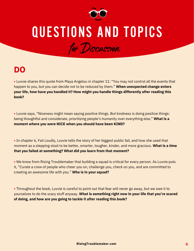

## QUESTIONS AND TOPICS

for Discussion

### **DO**

**•** Luvvie shares this quote from Maya Angelou in chapter 11: "You may not control all the events that happen to you, but you can decide not to be reduced by them." **When unexpected change enters your life, how have you handled it? How might you handle things differently after reading this book?**

**•** Luvvie says, "Niceness might mean saying positive things. But kindness is doing positive things: being thoughtful and considerate, prioritizing people's humanity over everything else." **What is a moment where you were NICE when you should have been KIND?**

**•** In chapter 6, Fail Loudly, Luvvie tells the story of her biggest public fail, and how she used that moment as a stepping stool to be better, smarter, tougher, kinder, and more gracious. **What is a time that you failed at something? What did you learn from that moment?**

**•** We know from Rising Troublemaker that building a squad is critical for every person. As Luvvie puts it, "Curate a crew of people who cheer you on, challenge you, check on you, and are committed to creating an awesome life with you." **Who is in your squad?**

**•** Throughout the book, Luvvie is careful to point out that fear will never go away, but we owe it to yourselves to do the scary stuff anyway. **What is something right now in your life that you're scared of doing, and how are you going to tackle it after reading this book?**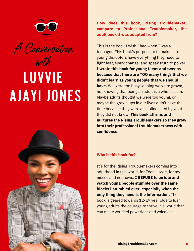

# A Conversation with LUVVIE AJAYI JONES



**How does this book, Rising Troublemaker, compare to Professional Troublemaker, the adult book it was adapted from?**

This is the book I wish I had when I was a teenager. This book's purpose to to make sure young disruptors have everything they need to fight fear, spark change, and speak truth to power. **I wrote this book for young teens and tweens because that there are TOO many things that we didn't learn as young people that we should have.** We were too busy wishing we were grown, not knowing that being an adult is a whole scam. Maybe adults thought we were too young, or maybe the grown ups in our lives didn't have the time because they were also blindsided by what they did not know. **This book affirms and nurtures the Rising Troublemakers so they grow into their professional troublemakerness with confidence.**

#### **Who is this book for?**

It's for the Rising Troublemakers coming into adulthood in this world, for Teen Luvvie, for my nieces and nephews. **I REFUSE to be idle and watch young people stumble over the same blocks I stumbled over, especially when the only thing they need is the information.** The book is geared towards 12-19 year olds to loan young adults the courage to thrive in a world that can make you feel powerless and voiceless.